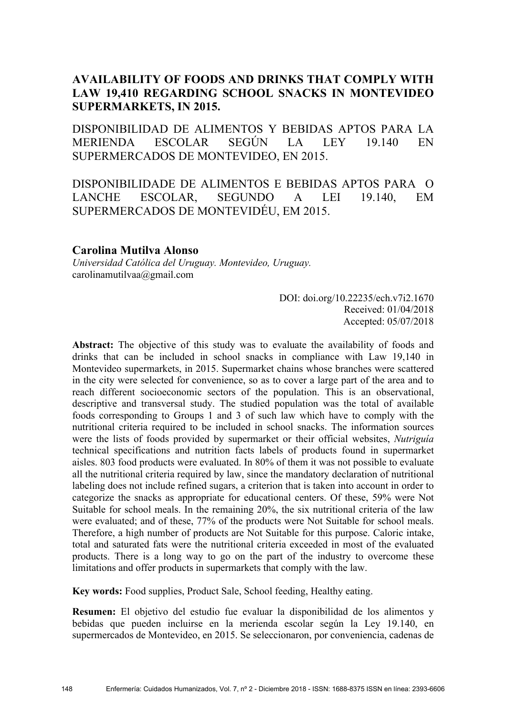# **AVAILABILITY OF FOODS AND DRINKS THAT COMPLY WITH LAW 19,410 REGARDING SCHOOL SNACKS IN MONTEVIDEO SUPERMARKETS, IN 2015.**

DISPONIBILIDAD DE ALIMENTOS Y BEBIDAS APTOS PARA LA MERIENDA ESCOLAR SEGÚN LA LEY 19.140 EN SUPERMERCADOS DE MONTEVIDEO, EN 2015.

DISPONIBILIDADE DE ALIMENTOS E BEBIDAS APTOS PARA O LANCHE ESCOLAR, SEGUNDO A LEI 19.140, EM SUPERMERCADOS DE MONTEVIDÉU, EM 2015.

# **Carolina Mutilva Alonso**

*Universidad Católica del Uruguay. Montevideo, Uruguay.* carolinamutilvaa@gmail.com

> DOI: doi.org/10.22235/ech.v7i2.1670 Received: 01/04/2018 Accepted: 05/07/2018

**Abstract:** The objective of this study was to evaluate the availability of foods and drinks that can be included in school snacks in compliance with Law 19,140 in Montevideo supermarkets, in 2015. Supermarket chains whose branches were scattered in the city were selected for convenience, so as to cover a large part of the area and to reach different socioeconomic sectors of the population. This is an observational, descriptive and transversal study. The studied population was the total of available foods corresponding to Groups 1 and 3 of such law which have to comply with the nutritional criteria required to be included in school snacks. The information sources were the lists of foods provided by supermarket or their official websites, *Nutriguía*  technical specifications and nutrition facts labels of products found in supermarket aisles. 803 food products were evaluated. In 80% of them it was not possible to evaluate all the nutritional criteria required by law, since the mandatory declaration of nutritional labeling does not include refined sugars, a criterion that is taken into account in order to categorize the snacks as appropriate for educational centers. Of these, 59% were Not Suitable for school meals. In the remaining 20%, the six nutritional criteria of the law were evaluated; and of these, 77% of the products were Not Suitable for school meals. Therefore, a high number of products are Not Suitable for this purpose. Caloric intake, total and saturated fats were the nutritional criteria exceeded in most of the evaluated products. There is a long way to go on the part of the industry to overcome these limitations and offer products in supermarkets that comply with the law.

**Key words:** Food supplies, Product Sale, School feeding, Healthy eating.

**Resumen:** El objetivo del estudio fue evaluar la disponibilidad de los alimentos y bebidas que pueden incluirse en la merienda escolar según la Ley 19.140, en supermercados de Montevideo, en 2015. Se seleccionaron, por conveniencia, cadenas de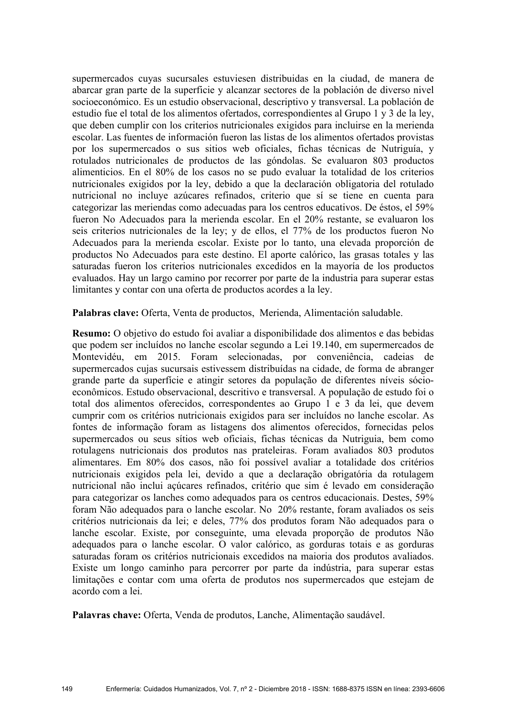supermercados cuyas sucursales estuviesen distribuidas en la ciudad, de manera de abarcar gran parte de la superficie y alcanzar sectores de la población de diverso nivel socioeconómico. Es un estudio observacional, descriptivo y transversal. La población de estudio fue el total de los alimentos ofertados, correspondientes al Grupo 1 y 3 de la ley, que deben cumplir con los criterios nutricionales exigidos para incluirse en la merienda escolar. Las fuentes de información fueron las listas de los alimentos ofertados provistas por los supermercados o sus sitios web oficiales, fichas técnicas de Nutriguía, y rotulados nutricionales de productos de las góndolas. Se evaluaron 803 productos alimenticios. En el 80% de los casos no se pudo evaluar la totalidad de los criterios nutricionales exigidos por la ley, debido a que la declaración obligatoria del rotulado nutricional no incluye azúcares refinados, criterio que sí se tiene en cuenta para categorizar las meriendas como adecuadas para los centros educativos. De éstos, el 59% fueron No Adecuados para la merienda escolar. En el 20% restante, se evaluaron los seis criterios nutricionales de la ley; y de ellos, el 77% de los productos fueron No Adecuados para la merienda escolar. Existe por lo tanto, una elevada proporción de productos No Adecuados para este destino. El aporte calórico, las grasas totales y las saturadas fueron los criterios nutricionales excedidos en la mayoría de los productos evaluados. Hay un largo camino por recorrer por parte de la industria para superar estas limitantes y contar con una oferta de productos acordes a la ley.

**Palabras clave:** Oferta, Venta de productos, Merienda, Alimentación saludable.

**Resumo:** O objetivo do estudo foi avaliar a disponibilidade dos alimentos e das bebidas que podem ser incluídos no lanche escolar segundo a Lei 19.140, em supermercados de Montevidéu, em 2015. Foram selecionadas, por conveniência, cadeias de supermercados cujas sucursais estivessem distribuídas na cidade, de forma de abranger grande parte da superfície e atingir setores da população de diferentes níveis sócioeconômicos. Estudo observacional, descritivo e transversal. A população de estudo foi o total dos alimentos oferecidos, correspondentes ao Grupo 1 e 3 da lei, que devem cumprir com os critérios nutricionais exigidos para ser incluídos no lanche escolar. As fontes de informação foram as listagens dos alimentos oferecidos, fornecidas pelos supermercados ou seus sítios web oficiais, fichas técnicas da Nutriguia, bem como rotulagens nutricionais dos produtos nas prateleiras. Foram avaliados 803 produtos alimentares. Em 80% dos casos, não foi possível avaliar a totalidade dos critérios nutricionais exigidos pela lei, devido a que a declaração obrigatória da rotulagem nutricional não inclui açúcares refinados, critério que sim é levado em consideração para categorizar os lanches como adequados para os centros educacionais. Destes, 59% foram Não adequados para o lanche escolar. No 20% restante, foram avaliados os seis critérios nutricionais da lei; e deles, 77% dos produtos foram Não adequados para o lanche escolar. Existe, por conseguinte, uma elevada proporção de produtos Não adequados para o lanche escolar. O valor calórico, as gorduras totais e as gorduras saturadas foram os critérios nutricionais excedidos na maioria dos produtos avaliados. Existe um longo caminho para percorrer por parte da indústria, para superar estas limitações e contar com uma oferta de produtos nos supermercados que estejam de acordo com a lei.

**Palavras chave:** Oferta, Venda de produtos, Lanche, Alimentação saudável.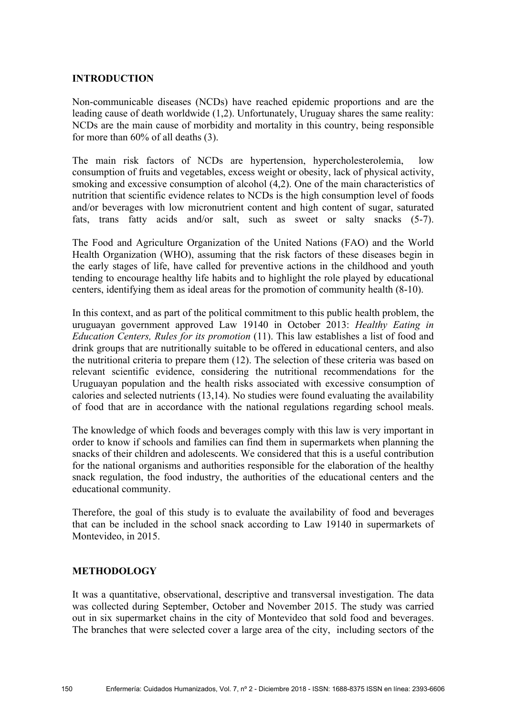# **INTRODUCTION**

Non-communicable diseases (NCDs) have reached epidemic proportions and are the leading cause of death worldwide (1,2). Unfortunately, Uruguay shares the same reality: NCDs are the main cause of morbidity and mortality in this country, being responsible for more than 60% of all deaths (3).

The main risk factors of NCDs are hypertension, hypercholesterolemia, low consumption of fruits and vegetables, excess weight or obesity, lack of physical activity, smoking and excessive consumption of alcohol (4,2). One of the main characteristics of nutrition that scientific evidence relates to NCDs is the high consumption level of foods and/or beverages with low micronutrient content and high content of sugar, saturated fats, trans fatty acids and/or salt, such as sweet or salty snacks (5-7).

The Food and Agriculture Organization of the United Nations (FAO) and the World Health Organization (WHO), assuming that the risk factors of these diseases begin in the early stages of life, have called for preventive actions in the childhood and youth tending to encourage healthy life habits and to highlight the role played by educational centers, identifying them as ideal areas for the promotion of community health (8-10).

In this context, and as part of the political commitment to this public health problem, the uruguayan government approved Law 19140 in October 2013: *Healthy Eating in Education Centers, Rules for its promotion* (11). This law establishes a list of food and drink groups that are nutritionally suitable to be offered in educational centers, and also the nutritional criteria to prepare them (12). The selection of these criteria was based on relevant scientific evidence, considering the nutritional recommendations for the Uruguayan population and the health risks associated with excessive consumption of calories and selected nutrients (13,14). No studies were found evaluating the availability of food that are in accordance with the national regulations regarding school meals.

The knowledge of which foods and beverages comply with this law is very important in order to know if schools and families can find them in supermarkets when planning the snacks of their children and adolescents. We considered that this is a useful contribution for the national organisms and authorities responsible for the elaboration of the healthy snack regulation, the food industry, the authorities of the educational centers and the educational community.

Therefore, the goal of this study is to evaluate the availability of food and beverages that can be included in the school snack according to Law 19140 in supermarkets of Montevideo, in 2015.

### **METHODOLOGY**

It was a quantitative, observational, descriptive and transversal investigation. The data was collected during September, October and November 2015. The study was carried out in six supermarket chains in the city of Montevideo that sold food and beverages. The branches that were selected cover a large area of the city, including sectors of the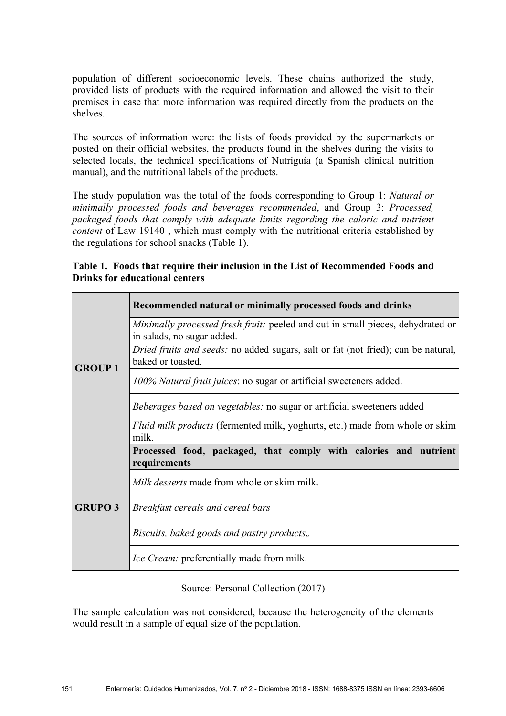population of different socioeconomic levels. These chains authorized the study, provided lists of products with the required information and allowed the visit to their premises in case that more information was required directly from the products on the shelves.

The sources of information were: the lists of foods provided by the supermarkets or posted on their official websites, the products found in the shelves during the visits to selected locals, the technical specifications of Nutriguía (a Spanish clinical nutrition manual), and the nutritional labels of the products.

The study population was the total of the foods corresponding to Group 1: *Natural or minimally processed foods and beverages recommended*, and Group 3: *Processed, packaged foods that comply with adequate limits regarding the caloric and nutrient content* of Law 19140 , which must comply with the nutritional criteria established by the regulations for school snacks (Table 1).

**Table 1. Foods that require their inclusion in the List of Recommended Foods and Drinks for educational centers**

|                | Recommended natural or minimally processed foods and drinks                                                         |  |  |
|----------------|---------------------------------------------------------------------------------------------------------------------|--|--|
| <b>GROUP1</b>  | <i>Minimally processed fresh fruit:</i> peeled and cut in small pieces, dehydrated or<br>in salads, no sugar added. |  |  |
|                | Dried fruits and seeds: no added sugars, salt or fat (not fried); can be natural,<br>baked or toasted.              |  |  |
|                | 100% Natural fruit juices: no sugar or artificial sweeteners added.                                                 |  |  |
|                | <i>Beberages based on vegetables:</i> no sugar or artificial sweeteners added                                       |  |  |
|                | <i>Fluid milk products</i> (fermented milk, yoghurts, etc.) made from whole or skim<br>milk.                        |  |  |
| <b>GRUPO 3</b> | Processed food, packaged, that comply with calories and nutrient<br>requirements                                    |  |  |
|                | Milk desserts made from whole or skim milk.                                                                         |  |  |
|                | Breakfast cereals and cereal bars                                                                                   |  |  |
|                | Biscuits, baked goods and pastry products,.                                                                         |  |  |
|                | Ice Cream: preferentially made from milk.                                                                           |  |  |

Source: Personal Collection (2017)

The sample calculation was not considered, because the heterogeneity of the elements would result in a sample of equal size of the population.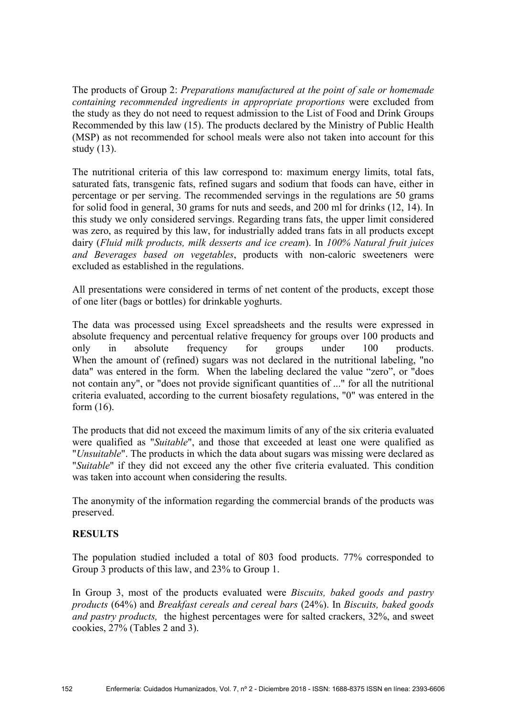The products of Group 2: *Preparations manufactured at the point of sale or homemade containing recommended ingredients in appropriate proportions* were excluded from the study as they do not need to request admission to the List of Food and Drink Groups Recommended by this law (15). The products declared by the Ministry of Public Health (MSP) as not recommended for school meals were also not taken into account for this study (13).

The nutritional criteria of this law correspond to: maximum energy limits, total fats, saturated fats, transgenic fats, refined sugars and sodium that foods can have, either in percentage or per serving. The recommended servings in the regulations are 50 grams for solid food in general, 30 grams for nuts and seeds, and 200 ml for drinks (12, 14). In this study we only considered servings. Regarding trans fats, the upper limit considered was zero, as required by this law, for industrially added trans fats in all products except dairy (*Fluid milk products, milk desserts and ice cream*). In *100% Natural fruit juices and Beverages based on vegetables*, products with non-caloric sweeteners were excluded as established in the regulations.

All presentations were considered in terms of net content of the products, except those of one liter (bags or bottles) for drinkable yoghurts.

The data was processed using Excel spreadsheets and the results were expressed in absolute frequency and percentual relative frequency for groups over 100 products and only in absolute frequency for groups under 100 products. When the amount of (refined) sugars was not declared in the nutritional labeling, "no data" was entered in the form. When the labeling declared the value "zero", or "does not contain any", or "does not provide significant quantities of ..." for all the nutritional criteria evaluated, according to the current biosafety regulations, "0" was entered in the form (16).

The products that did not exceed the maximum limits of any of the six criteria evaluated were qualified as "*Suitable*", and those that exceeded at least one were qualified as "*Unsuitable*". The products in which the data about sugars was missing were declared as "*Suitable*" if they did not exceed any the other five criteria evaluated. This condition was taken into account when considering the results.

The anonymity of the information regarding the commercial brands of the products was preserved.

# **RESULTS**

The population studied included a total of 803 food products. 77% corresponded to Group 3 products of this law, and 23% to Group 1.

In Group 3, most of the products evaluated were *Biscuits, baked goods and pastry products* (64%) and *Breakfast cereals and cereal bars* (24%). In *Biscuits, baked goods and pastry products,* the highest percentages were for salted crackers, 32%, and sweet cookies, 27% (Tables 2 and 3).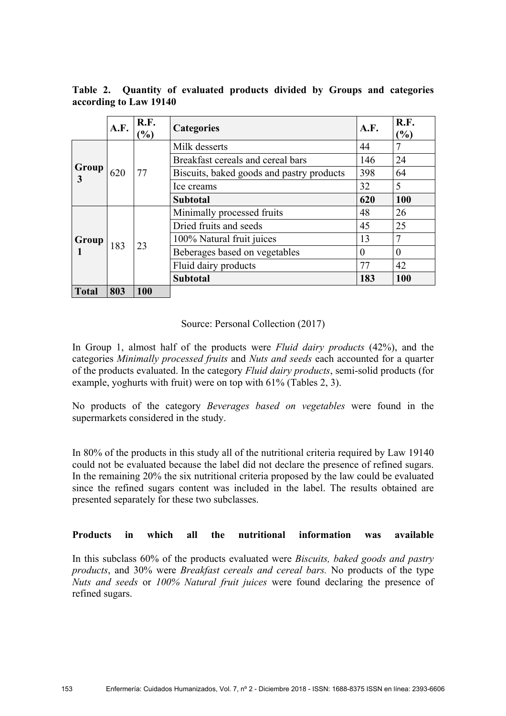|              | A.F. | R.F.<br>$\frac{6}{6}$ | <b>Categories</b>                         | A.F.     | R.F.<br>(%) |
|--------------|------|-----------------------|-------------------------------------------|----------|-------------|
|              |      | 77                    | Milk desserts                             | 44       | 7           |
| Group<br>3   | 620  |                       | Breakfast cereals and cereal bars         | 146      | 24          |
|              |      |                       | Biscuits, baked goods and pastry products | 398      | 64          |
|              |      |                       | Ice creams                                | 32       | 5           |
|              |      |                       | <b>Subtotal</b>                           | 620      | 100         |
| Group        | 183  | 23                    | Minimally processed fruits                | 48       | 26          |
|              |      |                       | Dried fruits and seeds                    | 45       | 25          |
|              |      |                       | 100% Natural fruit juices                 | 13       | 7           |
|              |      |                       | Beberages based on vegetables             | $\theta$ | $\theta$    |
|              |      |                       | Fluid dairy products                      | 77       | 42          |
|              |      |                       | <b>Subtotal</b>                           | 183      | 100         |
| <b>Total</b> | 803  | 100                   |                                           |          |             |

**Table 2. Quantity of evaluated products divided by Groups and categories according to Law 19140**

### Source: Personal Collection (2017)

In Group 1, almost half of the products were *Fluid dairy products* (42%), and the categories *Minimally processed fruits* and *Nuts and seeds* each accounted for a quarter of the products evaluated. In the category *Fluid dairy products*, semi-solid products (for example, yoghurts with fruit) were on top with 61% (Tables 2, 3).

No products of the category *Beverages based on vegetables* were found in the supermarkets considered in the study.

In 80% of the products in this study all of the nutritional criteria required by Law 19140 could not be evaluated because the label did not declare the presence of refined sugars. In the remaining 20% the six nutritional criteria proposed by the law could be evaluated since the refined sugars content was included in the label. The results obtained are presented separately for these two subclasses.

### **Products in which all the nutritional information was available**

In this subclass 60% of the products evaluated were *Biscuits, baked goods and pastry products*, and 30% were *Breakfast cereals and cereal bars.* No products of the type *Nuts and seeds* or *100% Natural fruit juices* were found declaring the presence of refined sugars.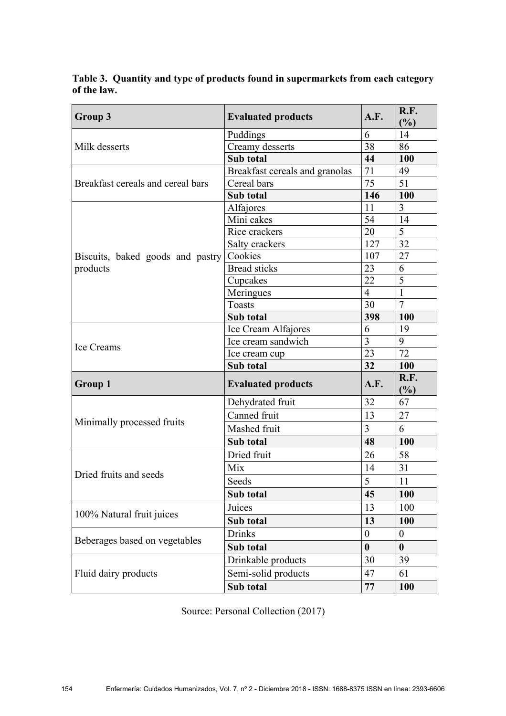**Table 3. Quantity and type of products found in supermarkets from each category of the law.** 

| Group 3                           | <b>Evaluated products</b>      | A.F.             | R.F.<br>(%)      |
|-----------------------------------|--------------------------------|------------------|------------------|
|                                   | Puddings                       | 6                | 14               |
| Milk desserts                     | Creamy desserts                | 38               | 86               |
|                                   | Sub total                      | 44               | 100              |
|                                   | Breakfast cereals and granolas | 71               | 49               |
| Breakfast cereals and cereal bars | Cereal bars                    | 75               | 51               |
|                                   | Sub total                      | 146              | 100              |
|                                   | Alfajores                      | 11               | 3                |
|                                   | Mini cakes                     | 54               | 14               |
|                                   | Rice crackers                  | 20               | 5                |
|                                   | Salty crackers                 | 127              | 32               |
| Biscuits, baked goods and pastry  | Cookies                        | 107              | 27               |
| products                          | <b>Bread sticks</b>            | 23               | 6                |
|                                   | Cupcakes                       | 22               | 5                |
|                                   | Meringues                      | $\overline{4}$   | 1                |
|                                   | <b>Toasts</b>                  | 30               | $\overline{7}$   |
|                                   | Sub total                      | 398              | 100              |
|                                   | Ice Cream Alfajores            | 6                | 19               |
| <b>Ice Creams</b>                 | Ice cream sandwich             | $\overline{3}$   | 9                |
|                                   | Ice cream cup                  | 23               | 72               |
|                                   | Sub total                      | 32               | 100              |
| <b>Group 1</b>                    | <b>Evaluated products</b>      | A.F.             | R.F.<br>(%)      |
|                                   | Dehydrated fruit               | 32               | 67               |
|                                   | Canned fruit                   | 13               | 27               |
| Minimally processed fruits        | Mashed fruit                   | 3                | 6                |
|                                   | Sub total                      | 48               | 100              |
|                                   | Dried fruit                    | 26               | 58               |
|                                   | Mix                            | 14               | 31               |
| Dried fruits and seeds            | Seeds                          | $\overline{5}$   | 11               |
|                                   | Sub total                      | 45               | 100              |
|                                   | Juices                         | 13               | 100              |
| 100% Natural fruit juices         | Sub total                      | 13               | 100              |
|                                   | <b>Drinks</b>                  | $\boldsymbol{0}$ | $\boldsymbol{0}$ |
| Beberages based on vegetables     | Sub total                      | $\boldsymbol{0}$ | $\boldsymbol{0}$ |
|                                   | Drinkable products             | 30               | 39               |
| Fluid dairy products              | Semi-solid products            | 47               | 61               |
|                                   | Sub total                      | 77               | 100              |

Source: Personal Collection (2017)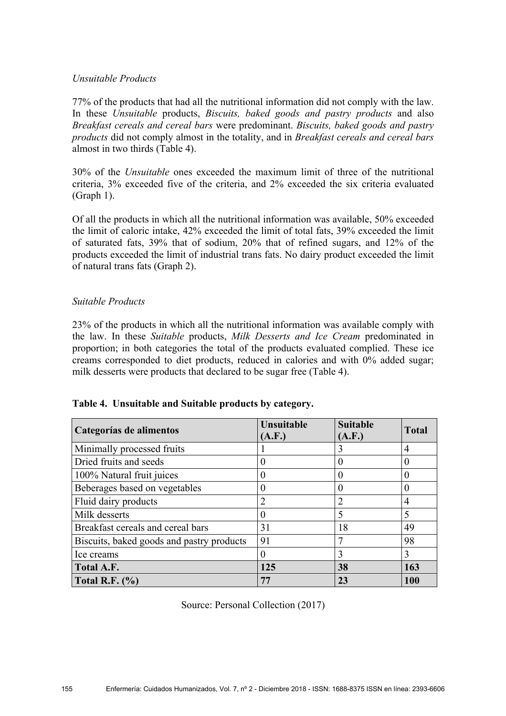# *Unsuitable Products*

77% of the products that had all the nutritional information did not comply with the law. In these *Unsuitable* products, *Biscuits, baked goods and pastry products* and also *Breakfast cereals and cereal bars* were predominant. *Biscuits, baked goods and pastry products* did not comply almost in the totality, and in *Breakfast cereals and cereal bars* almost in two thirds (Table 4).

30% of the *Unsuitable* ones exceeded the maximum limit of three of the nutritional criteria, 3% exceeded five of the criteria, and 2% exceeded the six criteria evaluated (Graph 1).

Of all the products in which all the nutritional information was available, 50% exceeded the limit of caloric intake, 42% exceeded the limit of total fats, 39% exceeded the limit of saturated fats, 39% that of sodium, 20% that of refined sugars, and 12% of the products exceeded the limit of industrial trans fats. No dairy product exceeded the limit of natural trans fats (Graph 2).

# *Suitable Products*

23% of the products in which all the nutritional information was available comply with the law. In these *Suitable* products, *Milk Desserts and Ice Cream* predominated in proportion; in both categories the total of the products evaluated complied. These ice creams corresponded to diet products, reduced in calories and with 0% added sugar; milk desserts were products that declared to be sugar free (Table 4).

| Categorías de alimentos                   | Unsuitable<br>(A.F.) | <b>Suitable</b><br>(A.F.) | <b>Total</b> |
|-------------------------------------------|----------------------|---------------------------|--------------|
| Minimally processed fruits                |                      | 3                         | 4            |
| Dried fruits and seeds                    | 0                    |                           | 0            |
| 100% Natural fruit juices                 |                      |                           | 0            |
| Beberages based on vegetables             |                      |                           | $\theta$     |
| Fluid dairy products                      | $\overline{2}$       |                           | 4            |
| Milk desserts                             | 0                    |                           | 5            |
| Breakfast cereals and cereal bars         | 31                   | 18                        | 49           |
| Biscuits, baked goods and pastry products | 91                   |                           | 98           |
| Ice creams                                |                      | 3                         | 3            |
| Total A.F.                                | 125                  | 38                        | 163          |
| Total R.F. $(\%)$                         | 77                   | 23                        | 100          |

| Table 4. Unsuitable and Suitable products by category. |  |  |  |  |  |
|--------------------------------------------------------|--|--|--|--|--|
|--------------------------------------------------------|--|--|--|--|--|

Source: Personal Collection (2017)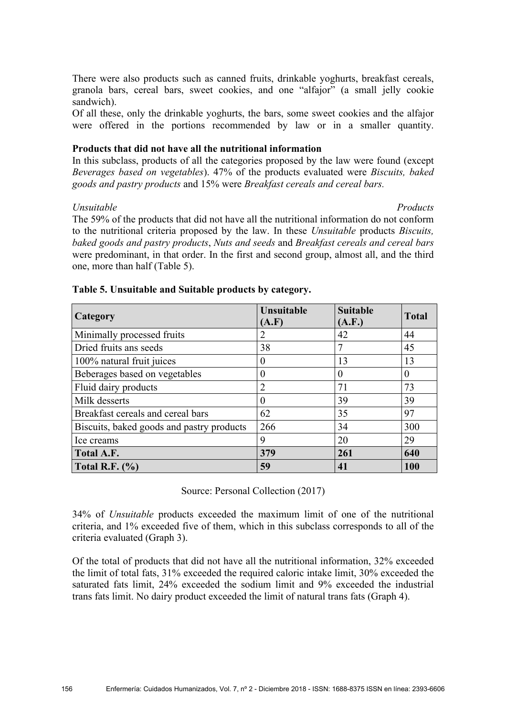There were also products such as canned fruits, drinkable yoghurts, breakfast cereals, granola bars, cereal bars, sweet cookies, and one "alfajor" (a small jelly cookie sandwich).

Of all these, only the drinkable yoghurts, the bars, some sweet cookies and the alfajor were offered in the portions recommended by law or in a smaller quantity.

### **Products that did not have all the nutritional information**

In this subclass, products of all the categories proposed by the law were found (except *Beverages based on vegetables*). 47% of the products evaluated were *Biscuits, baked goods and pastry products* and 15% were *Breakfast cereals and cereal bars.*

*Unsuitable Products* The 59% of the products that did not have all the nutritional information do not conform to the nutritional criteria proposed by the law. In these *Unsuitable* products *Biscuits, baked goods and pastry products*, *Nuts and seeds* and *Breakfast cereals and cereal bars* were predominant, in that order. In the first and second group, almost all, and the third one, more than half (Table 5).

| Category                                  | Unsuitable<br>(A.F) | <b>Suitable</b><br>(A.F.) | <b>Total</b> |
|-------------------------------------------|---------------------|---------------------------|--------------|
| Minimally processed fruits                |                     | 42                        | 44           |
| Dried fruits ans seeds                    | 38                  |                           | 45           |
| 100% natural fruit juices                 |                     | 13                        | 13           |
| Beberages based on vegetables             | 0                   | $\theta$                  | 0            |
| Fluid dairy products                      |                     | 71                        | 73           |
| Milk desserts                             | 0                   | 39                        | 39           |
| Breakfast cereals and cereal bars         | 62                  | 35                        | 97           |
| Biscuits, baked goods and pastry products | 266                 | 34                        | 300          |
| Ice creams                                | 9                   | 20                        | 29           |
| Total A.F.                                | 379                 | 261                       | 640          |
| Total R.F. $(\% )$                        | 59                  | 41                        | 100          |

### **Table 5. Unsuitable and Suitable products by category.**

Source: Personal Collection (2017)

34% of *Unsuitable* products exceeded the maximum limit of one of the nutritional criteria, and 1% exceeded five of them, which in this subclass corresponds to all of the criteria evaluated (Graph 3).

Of the total of products that did not have all the nutritional information, 32% exceeded the limit of total fats, 31% exceeded the required caloric intake limit, 30% exceeded the saturated fats limit, 24% exceeded the sodium limit and 9% exceeded the industrial trans fats limit. No dairy product exceeded the limit of natural trans fats (Graph 4).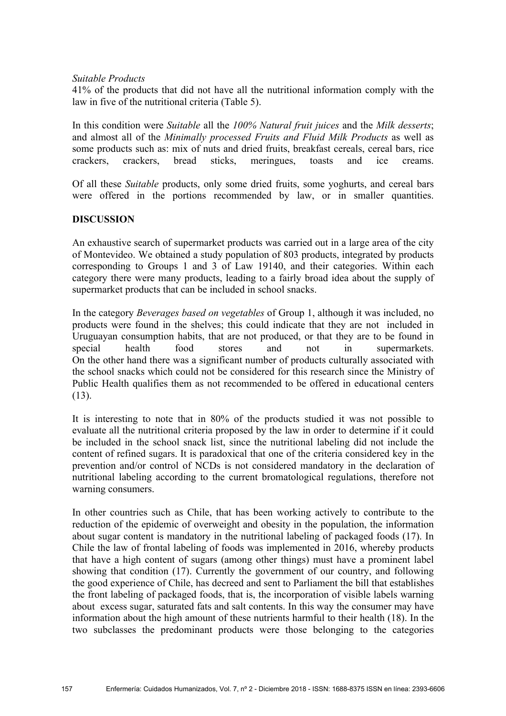### *Suitable Products*

41% of the products that did not have all the nutritional information comply with the law in five of the nutritional criteria (Table 5).

In this condition were *Suitable* all the *100% Natural fruit juices* and the *Milk desserts*; and almost all of the *Minimally processed Fruits and Fluid Milk Products* as well as some products such as: mix of nuts and dried fruits, breakfast cereals, cereal bars, rice crackers, crackers, bread sticks, meringues, toasts and ice creams.

Of all these *Suitable* products, only some dried fruits, some yoghurts, and cereal bars were offered in the portions recommended by law, or in smaller quantities.

# **DISCUSSION**

An exhaustive search of supermarket products was carried out in a large area of the city of Montevideo. We obtained a study population of 803 products, integrated by products corresponding to Groups 1 and 3 of Law 19140, and their categories. Within each category there were many products, leading to a fairly broad idea about the supply of supermarket products that can be included in school snacks.

In the category *Beverages based on vegetables* of Group 1, although it was included, no products were found in the shelves; this could indicate that they are not included in Uruguayan consumption habits, that are not produced, or that they are to be found in special health food stores and not in supermarkets. On the other hand there was a significant number of products culturally associated with the school snacks which could not be considered for this research since the Ministry of Public Health qualifies them as not recommended to be offered in educational centers (13).

It is interesting to note that in 80% of the products studied it was not possible to evaluate all the nutritional criteria proposed by the law in order to determine if it could be included in the school snack list, since the nutritional labeling did not include the content of refined sugars. It is paradoxical that one of the criteria considered key in the prevention and/or control of NCDs is not considered mandatory in the declaration of nutritional labeling according to the current bromatological regulations, therefore not warning consumers.

In other countries such as Chile, that has been working actively to contribute to the reduction of the epidemic of overweight and obesity in the population, the information about sugar content is mandatory in the nutritional labeling of packaged foods (17). In Chile the law of frontal labeling of foods was implemented in 2016, whereby products that have a high content of sugars (among other things) must have a prominent label showing that condition (17). Currently the government of our country, and following the good experience of Chile, has decreed and sent to Parliament the bill that establishes the front labeling of packaged foods, that is, the incorporation of visible labels warning about excess sugar, saturated fats and salt contents. In this way the consumer may have information about the high amount of these nutrients harmful to their health (18). In the two subclasses the predominant products were those belonging to the categories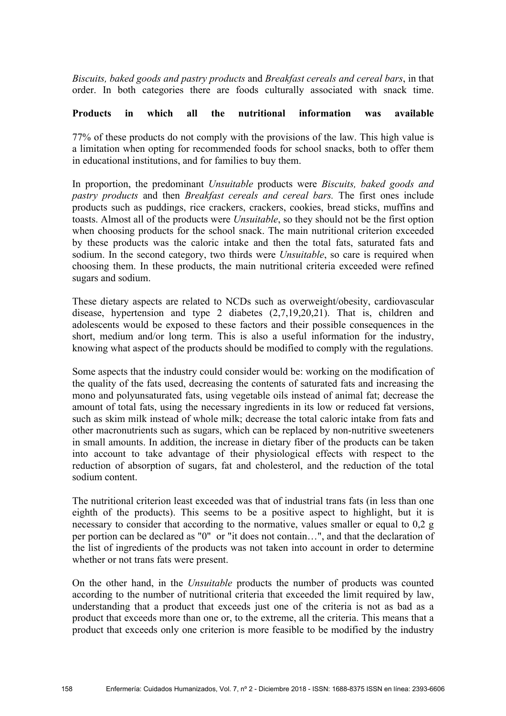*Biscuits, baked goods and pastry products* and *Breakfast cereals and cereal bars*, in that order. In both categories there are foods culturally associated with snack time.

# **Products in which all the nutritional information was available**

77% of these products do not comply with the provisions of the law. This high value is a limitation when opting for recommended foods for school snacks, both to offer them in educational institutions, and for families to buy them.

In proportion, the predominant *Unsuitable* products were *Biscuits, baked goods and pastry products* and then *Breakfast cereals and cereal bars.* The first ones include products such as puddings, rice crackers, crackers, cookies, bread sticks, muffins and toasts. Almost all of the products were *Unsuitable*, so they should not be the first option when choosing products for the school snack. The main nutritional criterion exceeded by these products was the caloric intake and then the total fats, saturated fats and sodium. In the second category, two thirds were *Unsuitable*, so care is required when choosing them. In these products, the main nutritional criteria exceeded were refined sugars and sodium.

These dietary aspects are related to NCDs such as overweight/obesity, cardiovascular disease, hypertension and type 2 diabetes (2,7,19,20,21). That is, children and adolescents would be exposed to these factors and their possible consequences in the short, medium and/or long term. This is also a useful information for the industry, knowing what aspect of the products should be modified to comply with the regulations.

Some aspects that the industry could consider would be: working on the modification of the quality of the fats used, decreasing the contents of saturated fats and increasing the mono and polyunsaturated fats, using vegetable oils instead of animal fat; decrease the amount of total fats, using the necessary ingredients in its low or reduced fat versions, such as skim milk instead of whole milk; decrease the total caloric intake from fats and other macronutrients such as sugars, which can be replaced by non-nutritive sweeteners in small amounts. In addition, the increase in dietary fiber of the products can be taken into account to take advantage of their physiological effects with respect to the reduction of absorption of sugars, fat and cholesterol, and the reduction of the total sodium content.

The nutritional criterion least exceeded was that of industrial trans fats (in less than one eighth of the products). This seems to be a positive aspect to highlight, but it is necessary to consider that according to the normative, values smaller or equal to 0,2 g per portion can be declared as "0" or "it does not contain…", and that the declaration of the list of ingredients of the products was not taken into account in order to determine whether or not trans fats were present.

On the other hand, in the *Unsuitable* products the number of products was counted according to the number of nutritional criteria that exceeded the limit required by law, understanding that a product that exceeds just one of the criteria is not as bad as a product that exceeds more than one or, to the extreme, all the criteria. This means that a product that exceeds only one criterion is more feasible to be modified by the industry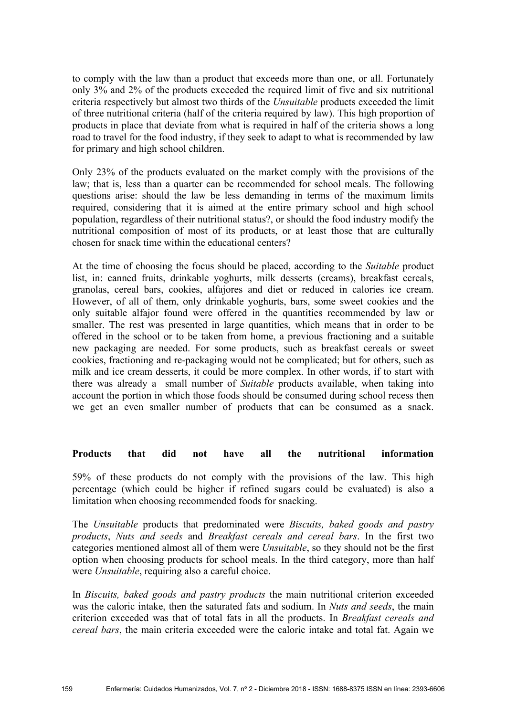to comply with the law than a product that exceeds more than one, or all. Fortunately only 3% and 2% of the products exceeded the required limit of five and six nutritional criteria respectively but almost two thirds of the *Unsuitable* products exceeded the limit of three nutritional criteria (half of the criteria required by law). This high proportion of products in place that deviate from what is required in half of the criteria shows a long road to travel for the food industry, if they seek to adapt to what is recommended by law for primary and high school children.

Only 23% of the products evaluated on the market comply with the provisions of the law; that is, less than a quarter can be recommended for school meals. The following questions arise: should the law be less demanding in terms of the maximum limits required, considering that it is aimed at the entire primary school and high school population, regardless of their nutritional status?, or should the food industry modify the nutritional composition of most of its products, or at least those that are culturally chosen for snack time within the educational centers?

At the time of choosing the focus should be placed, according to the *Suitable* product list, in: canned fruits, drinkable yoghurts, milk desserts (creams), breakfast cereals, granolas, cereal bars, cookies, alfajores and diet or reduced in calories ice cream. However, of all of them, only drinkable yoghurts, bars, some sweet cookies and the only suitable alfajor found were offered in the quantities recommended by law or smaller. The rest was presented in large quantities, which means that in order to be offered in the school or to be taken from home, a previous fractioning and a suitable new packaging are needed. For some products, such as breakfast cereals or sweet cookies, fractioning and re-packaging would not be complicated; but for others, such as milk and ice cream desserts, it could be more complex. In other words, if to start with there was already a small number of *Suitable* products available, when taking into account the portion in which those foods should be consumed during school recess then we get an even smaller number of products that can be consumed as a snack.

### **Products that did not have all the nutritional information**

59% of these products do not comply with the provisions of the law. This high percentage (which could be higher if refined sugars could be evaluated) is also a limitation when choosing recommended foods for snacking.

The *Unsuitable* products that predominated were *Biscuits, baked goods and pastry products*, *Nuts and seeds* and *Breakfast cereals and cereal bars*. In the first two categories mentioned almost all of them were *Unsuitable*, so they should not be the first option when choosing products for school meals. In the third category, more than half were *Unsuitable*, requiring also a careful choice.

In *Biscuits, baked goods and pastry products* the main nutritional criterion exceeded was the caloric intake, then the saturated fats and sodium. In *Nuts and seeds*, the main criterion exceeded was that of total fats in all the products. In *Breakfast cereals and cereal bars*, the main criteria exceeded were the caloric intake and total fat. Again we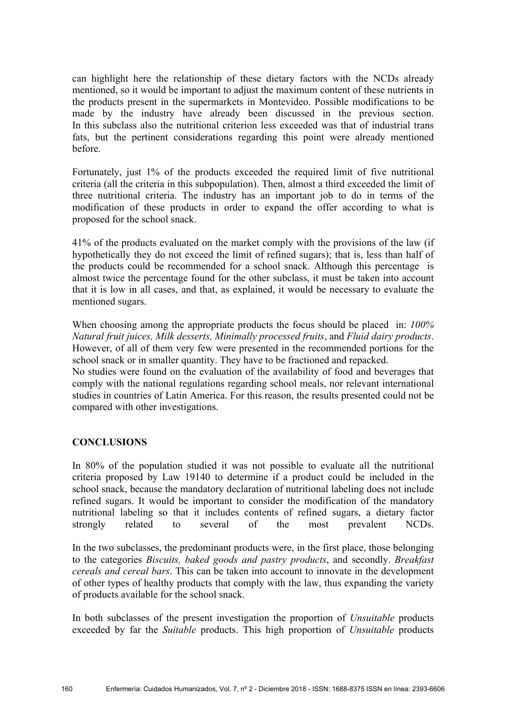can highlight here the relationship of these dietary factors with the NCDs already mentioned, so it would be important to adjust the maximum content of these nutrients in the products present in the supermarkets in Montevideo. Possible modifications to be made by the industry have already been discussed in the previous section. In this subclass also the nutritional criterion less exceeded was that of industrial trans fats, but the pertinent considerations regarding this point were already mentioned before.

Fortunately, just 1% of the products exceeded the required limit of five nutritional criteria (all the criteria in this subpopulation). Then, almost a third exceeded the limit of three nutritional criteria. The industry has an important job to do in terms of the modification of these products in order to expand the offer according to what is proposed for the school snack.

41% of the products evaluated on the market comply with the provisions of the law (if hypothetically they do not exceed the limit of refined sugars); that is, less than half of the products could be recommended for a school snack. Although this percentage is almost twice the percentage found for the other subclass, it must be taken into account that it is low in all cases, and that, as explained, it would be necessary to evaluate the mentioned sugars.

When choosing among the appropriate products the focus should be placed in: *100% Natural fruit juices, Milk desserts, Minimally processed fruits*, and *Fluid dairy products*. However, of all of them very few were presented in the recommended portions for the school snack or in smaller quantity. They have to be fractioned and repacked.

No studies were found on the evaluation of the availability of food and beverages that comply with the national regulations regarding school meals, nor relevant international studies in countries of Latin America. For this reason, the results presented could not be compared with other investigations.

# **CONCLUSIONS**

In 80% of the population studied it was not possible to evaluate all the nutritional criteria proposed by Law 19140 to determine if a product could be included in the school snack, because the mandatory declaration of nutritional labeling does not include refined sugars. It would be important to consider the modification of the mandatory nutritional labeling so that it includes contents of refined sugars, a dietary factor strongly related to several of the most prevalent NCDs.

In the two subclasses, the predominant products were, in the first place, those belonging to the categories *Biscuits, baked goods and pastry products*, and secondly. *Breakfast cereals and cereal bars*. This can be taken into account to innovate in the development of other types of healthy products that comply with the law, thus expanding the variety of products available for the school snack.

In both subclasses of the present investigation the proportion of *Unsuitable* products exceeded by far the *Suitable* products. This high proportion of *Unsuitable* products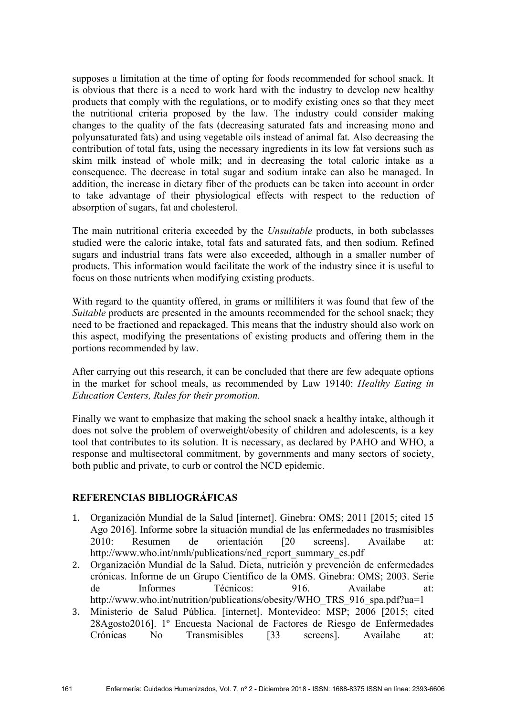supposes a limitation at the time of opting for foods recommended for school snack. It is obvious that there is a need to work hard with the industry to develop new healthy products that comply with the regulations, or to modify existing ones so that they meet the nutritional criteria proposed by the law. The industry could consider making changes to the quality of the fats (decreasing saturated fats and increasing mono and polyunsaturated fats) and using vegetable oils instead of animal fat. Also decreasing the contribution of total fats, using the necessary ingredients in its low fat versions such as skim milk instead of whole milk; and in decreasing the total caloric intake as a consequence. The decrease in total sugar and sodium intake can also be managed. In addition, the increase in dietary fiber of the products can be taken into account in order to take advantage of their physiological effects with respect to the reduction of absorption of sugars, fat and cholesterol.

The main nutritional criteria exceeded by the *Unsuitable* products, in both subclasses studied were the caloric intake, total fats and saturated fats, and then sodium. Refined sugars and industrial trans fats were also exceeded, although in a smaller number of products. This information would facilitate the work of the industry since it is useful to focus on those nutrients when modifying existing products.

With regard to the quantity offered, in grams or milliliters it was found that few of the *Suitable* products are presented in the amounts recommended for the school snack; they need to be fractioned and repackaged. This means that the industry should also work on this aspect, modifying the presentations of existing products and offering them in the portions recommended by law.

After carrying out this research, it can be concluded that there are few adequate options in the market for school meals, as recommended by Law 19140: *Healthy Eating in Education Centers, Rules for their promotion.*

Finally we want to emphasize that making the school snack a healthy intake, although it does not solve the problem of overweight/obesity of children and adolescents, is a key tool that contributes to its solution. It is necessary, as declared by PAHO and WHO, a response and multisectoral commitment, by governments and many sectors of society, both public and private, to curb or control the NCD epidemic.

# **REFERENCIAS BIBLIOGRÁFICAS**

- 1. Organización Mundial de la Salud [internet]. Ginebra: OMS; 2011 [2015; cited 15 Ago 2016]. Informe sobre la situación mundial de las enfermedades no trasmisibles 2010: Resumen de orientación [20 screens]. Availabe at: http://www.who.int/nmh/publications/ncd\_report\_summary\_es.pdf
- 2. Organización Mundial de la Salud. Dieta, nutrición y prevención de enfermedades crónicas. Informe de un Grupo Científico de la OMS. Ginebra: OMS; 2003. Serie de Informes Técnicos: 916. Availabe at: http://www.who.int/nutrition/publications/obesity/WHO\_TRS\_916\_spa.pdf?ua=1
- 3. Ministerio de Salud Pública. [internet]. Montevideo: MSP; 2006 [2015; cited 28Agosto2016]. 1º Encuesta Nacional de Factores de Riesgo de Enfermedades Crónicas No Transmisibles [33 screens]. Availabe at: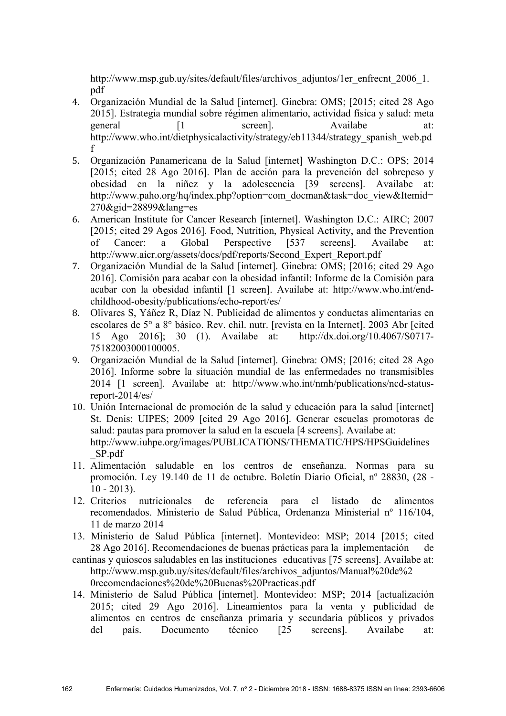http://www.msp.gub.uy/sites/default/files/archivos\_adjuntos/1er\_enfrecnt\_2006\_1. pdf

- 4. Organización Mundial de la Salud [internet]. Ginebra: OMS; [2015; cited 28 Ago 2015]. Estrategia mundial sobre régimen alimentario, actividad física y salud: meta general [1 screen]. Availabe at: http://www.who.int/dietphysicalactivity/strategy/eb11344/strategy\_spanish\_web.pd f
- 5. Organización Panamericana de la Salud [internet] Washington D.C.: OPS; 2014 [2015; cited 28 Ago 2016]. Plan de acción para la prevención del sobrepeso y obesidad en la niñez y la adolescencia [39 screens]. Availabe at: http://www.paho.org/hq/index.php?option=com\_docman&task=doc\_view&Itemid= 270&gid=28899&lang=es
- 6. American Institute for Cancer Research [internet]. Washington D.C.: AIRC; 2007 [2015; cited 29 Agos 2016]. Food, Nutrition, Physical Activity, and the Prevention of Cancer: a Global Perspective [537 screens]. Availabe at: http://www.aicr.org/assets/docs/pdf/reports/Second\_Expert\_Report.pdf
- 7. Organización Mundial de la Salud [internet]. Ginebra: OMS; [2016; cited 29 Ago 2016]. Comisión para acabar con la obesidad infantil: Informe de la Comisión para acabar con la obesidad infantil [1 screen]. Availabe at: http://www.who.int/endchildhood-obesity/publications/echo-report/es/
- 8. Olivares S, Yáñez R, Díaz N. Publicidad de alimentos y conductas alimentarias en escolares de 5° a 8° básico. Rev. chil. nutr. [revista en la Internet]. 2003 Abr [cited 15 Ago 2016]; 30 (1). Availabe at: http://dx.doi.org/10.4067/S0717- 75182003000100005.
- 9. Organización Mundial de la Salud [internet]. Ginebra: OMS; [2016; cited 28 Ago 2016]. Informe sobre la situación mundial de las enfermedades no transmisibles 2014 [1 screen]. Availabe at: http://www.who.int/nmh/publications/ncd-statusreport-2014/es/
- 10. Unión Internacional de promoción de la salud y educación para la salud [internet] St. Denis: UIPES; 2009 [cited 29 Ago 2016]. Generar escuelas promotoras de salud: pautas para promover la salud en la escuela [4 screens]. Availabe at: http://www.iuhpe.org/images/PUBLICATIONS/THEMATIC/HPS/HPSGuidelines \_SP.pdf
- 11. Alimentación saludable en los centros de enseñanza. Normas para su promoción. Ley 19.140 de 11 de octubre. Boletín Diario Oficial, nº 28830, (28 -  $10 - 2013$ .
- 12. Criterios nutricionales de referencia para el listado de alimentos recomendados. Ministerio de Salud Pública, Ordenanza Ministerial nº 116/104, 11 de marzo 2014
- 13. Ministerio de Salud Pública [internet]. Montevideo: MSP; 2014 [2015; cited 28 Ago 2016]. Recomendaciones de buenas prácticas para la implementación de
- cantinas y quioscos saludables en las instituciones educativas [75 screens]. Availabe at: http://www.msp.gub.uy/sites/default/files/archivos\_adjuntos/Manual%20de%2 0recomendaciones%20de%20Buenas%20Practicas.pdf
- 14. Ministerio de Salud Pública [internet]. Montevideo: MSP; 2014 [actualización 2015; cited 29 Ago 2016]. Lineamientos para la venta y publicidad de alimentos en centros de enseñanza primaria y secundaria públicos y privados del país. Documento técnico [25 screens]. Availabe at: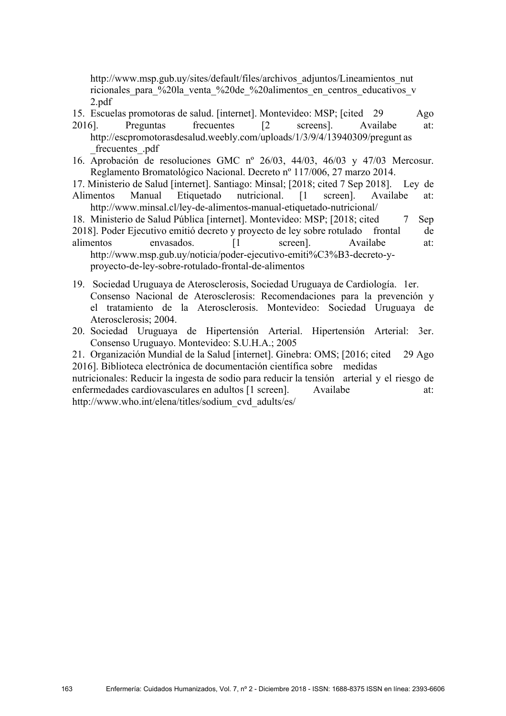http://www.msp.gub.uy/sites/default/files/archivos\_adjuntos/Lineamientos\_nut ricionales para %20la venta %20de %20alimentos en centros educativos v 2.pdf

- 15. Escuelas promotoras de salud. [internet]. Montevideo: MSP; [cited 29 Ago
- 2016]. Preguntas frecuentes [2 screens]. Availabe at: http://escpromotorasdesalud.weebly.com/uploads/1/3/9/4/13940309/pregunt as \_frecuentes\_.pdf
- 16. Aprobación de resoluciones GMC nº 26/03, 44/03, 46/03 y 47/03 Mercosur. Reglamento Bromatológico Nacional. Decreto nº 117/006, 27 marzo 2014.
- 17. Ministerio de Salud [internet]. Santiago: Minsal; [2018; cited 7 Sep 2018]. Ley de Alimentos Manual Etiquetado nutricional. [1 screen]. Availabe at: http://www.minsal.cl/ley-de-alimentos-manual-etiquetado-nutricional/
- 18. Ministerio de Salud Pública [internet]. Montevideo: MSP; [2018; cited 7 Sep
- 2018]. Poder Ejecutivo emitió decreto y proyecto de ley sobre rotulado frontal de alimentos envasados. [1 screen]. Availabe at: http://www.msp.gub.uy/noticia/poder-ejecutivo-emiti%C3%B3-decreto-yproyecto-de-ley-sobre-rotulado-frontal-de-alimentos

19. Sociedad Uruguaya de Aterosclerosis, Sociedad Uruguaya de Cardiología. 1er. Consenso Nacional de Aterosclerosis: Recomendaciones para la prevención y el tratamiento de la Aterosclerosis. Montevideo: Sociedad Uruguaya de

- Aterosclerosis; 2004. 20. Sociedad Uruguaya de Hipertensión Arterial. Hipertensión Arterial: 3er. Consenso Uruguayo. Montevideo: S.U.H.A.; 2005
- 21. Organización Mundial de la Salud [internet]. Ginebra: OMS; [2016; cited 29 Ago 2016]. Biblioteca electrónica de documentación científica sobre medidas

nutricionales: Reducir la ingesta de sodio para reducir la tensión arterial y el riesgo de enfermedades cardiovasculares en adultos [1 screen]. Availabe at: http://www.who.int/elena/titles/sodium\_cvd\_adults/es/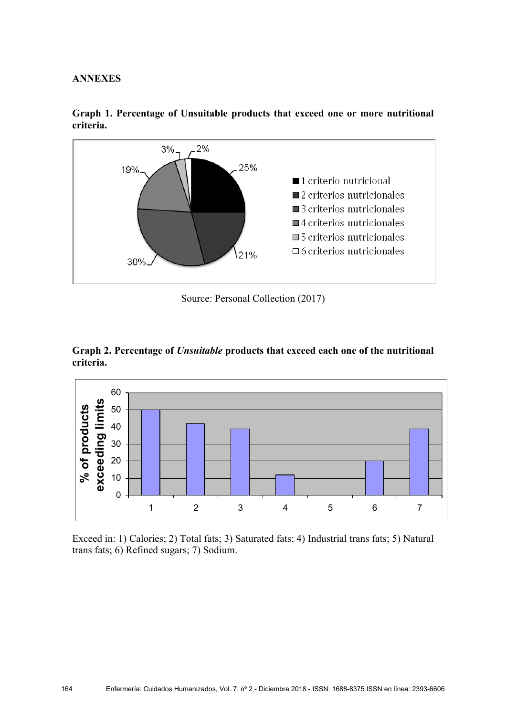### **ANNEXES**



**Graph 1. Percentage of Unsuitable products that exceed one or more nutritional criteria.**

Source: Personal Collection (2017)





Exceed in: 1) Calories; 2) Total fats; 3) Saturated fats; 4) Industrial trans fats; 5) Natural trans fats; 6) Refined sugars; 7) Sodium.